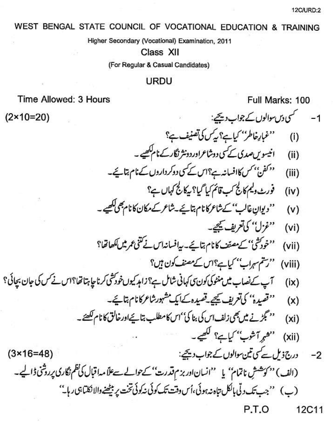## WEST BENGAL STATE COUNCIL OF VOCATIONAL EDUCATION & TRAINING

Higher Secondary (Vocational) Examination, 2011

Class XII

(For Regular & Casual Candidates)

## **URDU**

## Time Allowed: 3 Hours

 $(2 \times 10 = 20)$ 

Full Marks: 100

- 1- سمسمسکی دس-موالوں کے جواب دیتھے: ''غبار خاطر'' کیاہے؟ یکس کی تصنیف ہے؟  $(i)$
- انیسویںصدی کے کسی دوشاعراور دونثر نگار کے نام لکھیے۔  $(ii)$
- <sup>دوکف</sup>ن' <sup>م</sup>س کاافسانہ ہے؟اس کے کسی دوکرداروں کے نام بتائے۔  $(iii)$ 
	- فورٹ دلیم کالج کپ قائم کیا گیا؟ بیکالج کہاں ہے؟  $(iv)$
- ''دیوانِ غالب'' کےشاعرکانام بتائیے۔شاعر کے مکان کا نام بھی لکھیے۔  $(v)$ 
	- ''غزل'' کی تعریف کیچیے۔  $(vi)$
- ''خودکش'' کے مصنف کانام بتائے۔ بیافسانداس نے کتنی عمر میں ککھاتھا؟  $(vii)$ 
	- "رسم سہراب" کیاہے؟اس کے مصنف کون ہیں؟  $(viii)$
- آپ کےنصاب میں منٹوکی کون پی کہانی شامل ہے؟ زاہد کیوں خودکشی کرنا چاہتا تھا؟اس نے کس کی جان بجائی؟  $(ix)$ 
	- ''قصیدہ'' کی تعریف کیجیے۔قصیدہ کےایک مشہورشاعرکا نام بتائیے۔  $(x)$
	- '' گجڑنے میں بھی زلف اس کی بنا کی''اس کامطلب بتا ہےاورخالق کانام لکھئے۔  $(x<sub>i</sub>)$ 
		- ''همرآشوب'' کیاہے؟ لکھیے۔  $(xii)$
	- درج ذیل ہے کمی تین سوالوں کے جواب دیجیے:  $(3×16=48)$  $-2$ (الف) '' کوشش ناتمام'' یا ''انسان اور بزم قدرت'' کے حوالے سے علا مدا قبال کی نظم نگاری پر رشی ڈالیے۔ (پ) ''جب تک د ٹی پالکل تاہ نہ ہوئی،اُس دقت تک کوئی نہ کوئی تخت پر بیٹھنے والا نکتیا ہی ر پا۔''

P.T.O 12C11